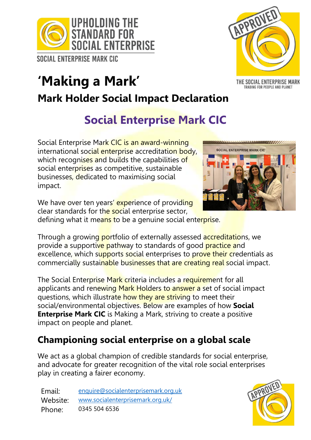

**SOCIAL ENTERPRISE MARK CIC** 

# **'Making a Mark' Mark Holder Social Impact Declaration**

## **Social Enterprise Mark CIC**

Social Enterprise Mark CIC is an award-winning international social enterprise accreditation body, which recognises and builds the capabilities of social enterprises as competitive, sustainable businesses, dedicated to maximising social impact.

We have over ten years' experience of providing clear standards for the social enterprise sector, defining what it means to be a genuine social enterprise.

Through a growing portfolio of externally assessed accreditations, we provide a supportive pathway to standards of good practice and excellence, which supports social enterprises to prove their credentials as commercially sustainable businesses that are creating real social impact.

The Social Enterprise Mark criteria includes a requirement for all applicants and renewing Mark Holders to answer a set of social impact questions, which illustrate how they are striving to meet their social/environmental objectives. Below are examples of how **Social Enterprise Mark CIC** is Making a Mark, striving to create a positive impact on people and planet.

## **Championing social enterprise on a global scale**

We act as a global champion of credible standards for social enterprise, and advocate for greater recognition of the vital role social enterprises play in creating a fairer economy.

Email: [enquire@socialenterprisemark.org.uk](mailto:enquire@socialenterprisemark.org.uk) Website: [www.socialenterprisemark.org.uk/](http://www.socialenterprisemark.org.uk/) Phone: 0345 504 6536





THE SOCIAL ENTERPRISE MARK TRADING FOR PEOPLE AND PLANET